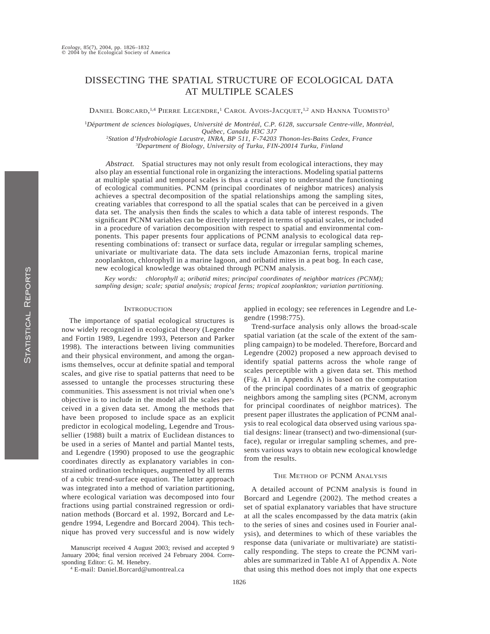## DISSECTING THE SPATIAL STRUCTURE OF ECOLOGICAL DATA AT MULTIPLE SCALES

DANIEL BORCARD,<sup>1,4</sup> PIERRE LEGENDRE,<sup>1</sup> CAROL AVOIS-JACQUET,<sup>1,2</sup> AND HANNA TUOMISTO<sup>3</sup>

<sup>1</sup>Départment de sciences biologiques, Université de Montréal, C.P. 6128, succursale Centre-ville, Montréal, *Que´bec, Canada H3C 3J7*

<sup>2</sup>*Station d'Hydrobiologie Lacustre, INRA, BP 511, F-74203 Thonon-les-Bains Cedex, France* <sup>3</sup>*Department of Biology, University of Turku, FIN-20014 Turku, Finland*

*Abstract.* Spatial structures may not only result from ecological interactions, they may also play an essential functional role in organizing the interactions. Modeling spatial patterns at multiple spatial and temporal scales is thus a crucial step to understand the functioning of ecological communities. PCNM (principal coordinates of neighbor matrices) analysis achieves a spectral decomposition of the spatial relationships among the sampling sites, creating variables that correspond to all the spatial scales that can be perceived in a given data set. The analysis then finds the scales to which a data table of interest responds. The significant PCNM variables can be directly interpreted in terms of spatial scales, or included in a procedure of variation decomposition with respect to spatial and environmental components. This paper presents four applications of PCNM analysis to ecological data representing combinations of: transect or surface data, regular or irregular sampling schemes, univariate or multivariate data. The data sets include Amazonian ferns, tropical marine zooplankton, chlorophyll in a marine lagoon, and oribatid mites in a peat bog. In each case, new ecological knowledge was obtained through PCNM analysis.

*Key words: chlorophyll* a; *oribatid mites; principal coordinates of neighbor matrices (PCNM); sampling design; scale; spatial analysis; tropical ferns; tropical zooplankton; variation partitioning.*

### **INTRODUCTION**

The importance of spatial ecological structures is now widely recognized in ecological theory (Legendre and Fortin 1989, Legendre 1993, Peterson and Parker 1998). The interactions between living communities and their physical environment, and among the organisms themselves, occur at definite spatial and temporal scales, and give rise to spatial patterns that need to be assessed to untangle the processes structuring these communities. This assessment is not trivial when one's objective is to include in the model all the scales perceived in a given data set. Among the methods that have been proposed to include space as an explicit predictor in ecological modeling, Legendre and Troussellier (1988) built a matrix of Euclidean distances to be used in a series of Mantel and partial Mantel tests, and Legendre (1990) proposed to use the geographic coordinates directly as explanatory variables in constrained ordination techniques, augmented by all terms of a cubic trend-surface equation. The latter approach was integrated into a method of variation partitioning, where ecological variation was decomposed into four fractions using partial constrained regression or ordination methods (Borcard et al. 1992, Borcard and Legendre 1994, Legendre and Borcard 2004). This technique has proved very successful and is now widely

Manuscript received 4 August 2003; revised and accepted 9 January 2004; final version received 24 February 2004. Corresponding Editor: G. M. Henebry.

<sup>4</sup> E-mail: Daniel.Borcard@umontreal.ca

applied in ecology; see references in Legendre and Legendre (1998:775).

Trend-surface analysis only allows the broad-scale spatial variation (at the scale of the extent of the sampling campaign) to be modeled. Therefore, Borcard and Legendre (2002) proposed a new approach devised to identify spatial patterns across the whole range of scales perceptible with a given data set. This method (Fig. A1 in Appendix A) is based on the computation of the principal coordinates of a matrix of geographic neighbors among the sampling sites (PCNM, acronym for principal coordinates of neighbor matrices). The present paper illustrates the application of PCNM analysis to real ecological data observed using various spatial designs: linear (transect) and two-dimensional (surface), regular or irregular sampling schemes, and presents various ways to obtain new ecological knowledge from the results.

### THE METHOD OF PCNM ANALYSIS

A detailed account of PCNM analysis is found in Borcard and Legendre (2002). The method creates a set of spatial explanatory variables that have structure at all the scales encompassed by the data matrix (akin to the series of sines and cosines used in Fourier analysis), and determines to which of these variables the response data (univariate or multivariate) are statistically responding. The steps to create the PCNM variables are summarized in Table A1 of Appendix A. Note that using this method does not imply that one expects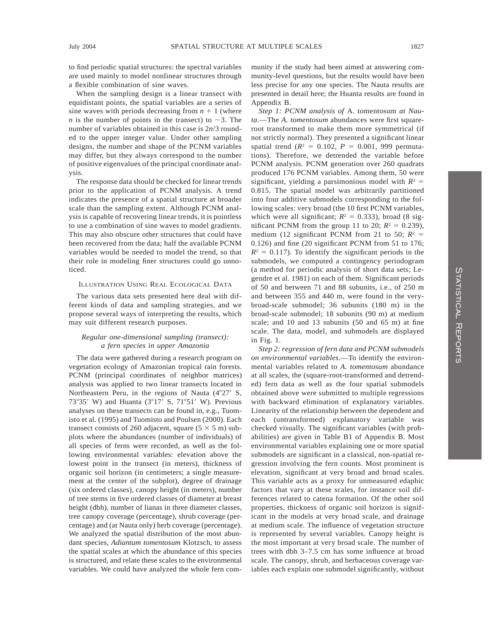to find periodic spatial structures: the spectral variables are used mainly to model nonlinear structures through a flexible combination of sine waves.

When the sampling design is a linear transect with equidistant points, the spatial variables are a series of sine waves with periods decreasing from  $n + 1$  (where *n* is the number of points in the transect) to  $\sim$ 3. The number of variables obtained in this case is 2*n*/3 rounded to the upper integer value. Under other sampling designs, the number and shape of the PCNM variables may differ, but they always correspond to the number of positive eigenvalues of the principal coordinate analysis.

The response data should be checked for linear trends prior to the application of PCNM analysis. A trend indicates the presence of a spatial structure at broader scale than the sampling extent. Although PCNM analysis is capable of recovering linear trends, it is pointless to use a combination of sine waves to model gradients. This may also obscure other structures that could have been recovered from the data; half the available PCNM variables would be needed to model the trend, so that their role in modeling finer structures could go unnoticed.

#### ILLUSTRATION USING REAL ECOLOGICAL DATA

The various data sets presented here deal with different kinds of data and sampling strategies, and we propose several ways of interpreting the results, which may suit different research purposes.

### *Regular one-dimensional sampling (transect): a fern species in upper Amazonia*

The data were gathered during a research program on vegetation ecology of Amazonian tropical rain forests. PCNM (principal coordinates of neighbor matrices) analysis was applied to two linear transects located in Northeastern Peru, in the regions of Nauta  $(4°27' S, 4°3)$ 73°35′ W) and Huanta (3°17′ S, 71°51′ W). Previous analyses on these transects can be found in, e.g., Tuomisto et al. (1995) and Tuomisto and Poulsen (2000). Each transect consists of 260 adjacent, square  $(5 \times 5 \text{ m})$  subplots where the abundances (number of individuals) of all species of ferns were recorded, as well as the following environmental variables: elevation above the lowest point in the transect (in meters), thickness of organic soil horizon (in centimeters; a single measurement at the center of the subplot), degree of drainage (six ordered classes), canopy height (in meters), number of tree stems in five ordered classes of diameter at breast height (dbh), number of lianas in three diameter classes, tree canopy coverage (percentage), shrub coverage (percentage) and (at Nauta only) herb coverage (percentage). We analyzed the spatial distribution of the most abundant species, *Adiantum tomentosum* Klotzsch, to assess the spatial scales at which the abundance of this species is structured, and relate these scales to the environmental variables. We could have analyzed the whole fern community if the study had been aimed at answering community-level questions, but the results would have been less precise for any one species. The Nauta results are presented in detail here; the Huanta results are found in Appendix B.

*Step 1: PCNM analysis of* A. tomentosum *at Nauta*.—The *A. tomentosum* abundances were first squareroot transformed to make them more symmetrical (if not strictly normal). They presented a significant linear spatial trend ( $R^2 = 0.102$ ,  $P = 0.001$ , 999 permutations). Therefore, we detrended the variable before PCNM analysis. PCNM generation over 260 quadrats produced 176 PCNM variables. Among them, 50 were significant, yielding a parsimonious model with  $R^2 =$ 0.815. The spatial model was arbitrarily partitioned into four additive submodels corresponding to the following scales: very broad (the 10 first PCNM variables, which were all significant;  $R^2 = 0.333$ ), broad (8 significant PCNM from the group 11 to 20;  $R^2 = 0.239$ ), medium (12 significant PCNM from 21 to 50;  $R^2$  = 0.126) and fine (20 significant PCNM from 51 to 176;  $R^2 = 0.117$ ). To identify the significant periods in the submodels, we computed a contingency periodogram (a method for periodic analysis of short data sets; Legendre et al. 1981) on each of them. Significant periods of 50 and between 71 and 88 subunits, i.e., of 250 m and between 355 and 440 m, were found in the verybroad-scale submodel; 36 subunits (180 m) in the broad-scale submodel; 18 subunits (90 m) at medium scale; and 10 and 13 subunits (50 and 65 m) at fine scale. The data, model, and submodels are displayed in Fig. 1.

*Step 2: regression of fern data and PCNM submodels on environmental variables*.—To identify the environmental variables related to *A. tomentosum* abundance at all scales, the (square-root-transformed and detrended) fern data as well as the four spatial submodels obtained above were submitted to multiple regressions with backward elimination of explanatory variables. Linearity of the relationship between the dependent and each (untransformed) explanatory variable was checked visually. The significant variables (with probabilities) are given in Table B1 of Appendix B. Most environmental variables explaining one or more spatial submodels are significant in a classical, non-spatial regression involving the fern counts. Most prominent is elevation, significant at very broad and broad scales. This variable acts as a proxy for unmeasured edaphic factors that vary at these scales, for instance soil differences related to catena formation. Of the other soil properties, thickness of organic soil horizon is significant in the models at very broad scale, and drainage at medium scale. The influence of vegetation structure is represented by several variables. Canopy height is the most important at very broad scale. The number of trees with dbh 3–7.5 cm has some influence at broad scale. The canopy, shrub, and herbaceous coverage variables each explain one submodel significantly, without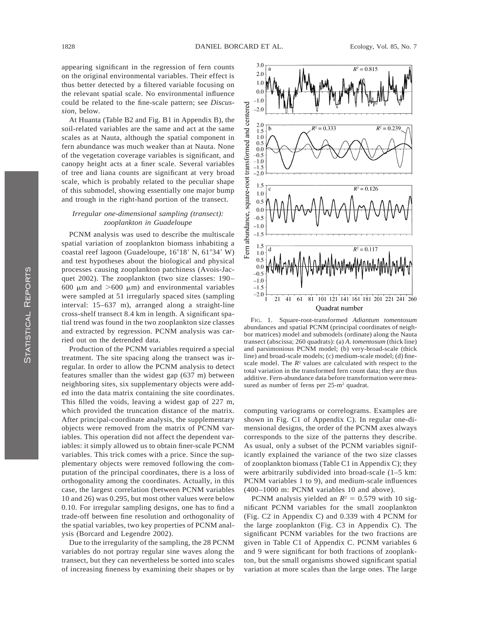appearing significant in the regression of fern counts on the original environmental variables. Their effect is thus better detected by a filtered variable focusing on the relevant spatial scale. No environmental influence could be related to the fine-scale pattern; see *Discussion*, below.

At Huanta (Table B2 and Fig. B1 in Appendix B), the soil-related variables are the same and act at the same scales as at Nauta, although the spatial component in fern abundance was much weaker than at Nauta. None of the vegetation coverage variables is significant, and canopy height acts at a finer scale. Several variables of tree and liana counts are significant at very broad scale, which is probably related to the peculiar shape of this submodel, showing essentially one major bump and trough in the right-hand portion of the transect.

### *Irregular one-dimensional sampling (transect): zooplankton in Guadeloupe*

PCNM analysis was used to describe the multiscale spatial variation of zooplankton biomass inhabiting a coastal reef lagoon (Guadeloupe, 16°18' N, 61°34' W) and test hypotheses about the biological and physical processes causing zooplankton patchiness (Avois-Jacquet 2002). The zooplankton (two size classes: 190– 600  $\mu$ m and  $>600 \mu$ m) and environmental variables were sampled at 51 irregularly spaced sites (sampling interval: 15–637 m), arranged along a straight-line cross-shelf transect 8.4 km in length. A significant spatial trend was found in the two zooplankton size classes and extracted by regression. PCNM analysis was carried out on the detrended data.

Production of the PCNM variables required a special treatment. The site spacing along the transect was irregular. In order to allow the PCNM analysis to detect features smaller than the widest gap (637 m) between neighboring sites, six supplementary objects were added into the data matrix containing the site coordinates. This filled the voids, leaving a widest gap of 227 m, which provided the truncation distance of the matrix. After principal-coordinate analysis, the supplementary objects were removed from the matrix of PCNM variables. This operation did not affect the dependent variables: it simply allowed us to obtain finer-scale PCNM variables. This trick comes with a price. Since the supplementary objects were removed following the computation of the principal coordinates, there is a loss of orthogonality among the coordinates. Actually, in this case, the largest correlation (between PCNM variables 10 and 26) was 0.295, but most other values were below 0.10. For irregular sampling designs, one has to find a trade-off between fine resolution and orthogonality of the spatial variables, two key properties of PCNM analysis (Borcard and Legendre 2002).

Due to the irregularity of the sampling, the 28 PCNM variables do not portray regular sine waves along the transect, but they can nevertheless be sorted into scales of increasing fineness by examining their shapes or by



FIG. 1. Square-root-transformed *Adiantum tomentosum* abundances and spatial PCNM (principal coordinates of neighbor matrices) model and submodels (ordinate) along the Nauta transect (abscissa; 260 quadrats): (a) *A. tomentosum* (thick line) and parsimonious PCNM model; (b) very-broad-scale (thick line) and broad-scale models; (c) medium-scale model; (d) finescale model. The  $R<sup>2</sup>$  values are calculated with respect to the total variation in the transformed fern count data; they are thus additive. Fern-abundance data before transformation were measured as number of ferns per 25-m<sup>2</sup> quadrat.

computing variograms or correlograms. Examples are shown in Fig. C1 of Appendix C). In regular one-dimensional designs, the order of the PCNM axes always corresponds to the size of the patterns they describe. As usual, only a subset of the PCNM variables significantly explained the variance of the two size classes of zooplankton biomass (Table C1 in Appendix C); they were arbitrarily subdivided into broad-scale (1–5 km: PCNM variables 1 to 9), and medium-scale influences (400–1000 m: PCNM variables 10 and above).

PCNM analysis yielded an  $R^2 = 0.579$  with 10 significant PCNM variables for the small zooplankton (Fig. C2 in Appendix C) and 0.339 with 4 PCNM for the large zooplankton (Fig. C3 in Appendix C). The significant PCNM variables for the two fractions are given in Table C1 of Appendix C. PCNM variables 6 and 9 were significant for both fractions of zooplankton, but the small organisms showed significant spatial variation at more scales than the large ones. The large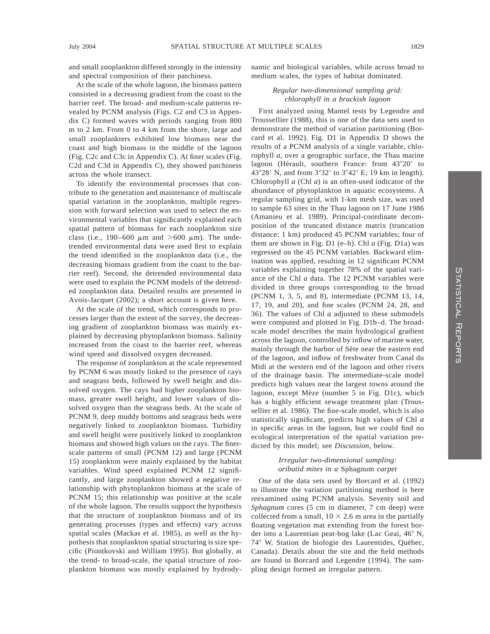and small zooplankton differed strongly in the intensity and spectral composition of their patchiness.

At the scale of the whole lagoon, the biomass pattern consisted in a decreasing gradient from the coast to the barrier reef. The broad- and medium-scale patterns revealed by PCNM analysis (Figs. C2 and C3 in Appendix C) formed waves with periods ranging from 800 m to 2 km. From 0 to 4 km from the shore, large and small zooplankters exhibited low biomass near the coast and high biomass in the middle of the lagoon (Fig. C2c and C3c in Appendix C). At finer scales (Fig. C2d and C3d in Appendix C), they showed patchiness across the whole transect.

To identify the environmental processes that contribute to the generation and maintenance of multiscale spatial variation in the zooplankton, multiple regression with forward selection was used to select the environmental variables that significantly explained each spatial pattern of biomass for each zooplankton size class (i.e., 190–600  $\mu$ m and >600  $\mu$ m). The undetrended environmental data were used first to explain the trend identified in the zooplankton data (i.e., the decreasing biomass gradient from the coast to the barrier reef). Second, the detrended environmental data were used to explain the PCNM models of the detrended zooplankton data. Detailed results are presented in Avois-Jacquet (2002); a short account is given here.

At the scale of the trend, which corresponds to processes larger than the extent of the survey, the decreasing gradient of zooplankton biomass was mainly explained by decreasing phytoplankton biomass. Salinity increased from the coast to the barrier reef, whereas wind speed and dissolved oxygen decreased.

The response of zooplankton at the scale represented by PCNM 6 was mostly linked to the presence of cays and seagrass beds, followed by swell height and dissolved oxygen. The cays had higher zooplankton biomass, greater swell height, and lower values of dissolved oxygen than the seagrass beds. At the scale of PCNM 9, deep muddy bottoms and seagrass beds were negatively linked to zooplankton biomass. Turbidity and swell height were positively linked to zooplankton biomass and showed high values on the cays. The finerscale patterns of small (PCNM 12) and large (PCNM 15) zooplankton were mainly explained by the habitat variables. Wind speed explained PCNM 12 significantly, and large zooplankton showed a negative relationship with phytoplankton biomass at the scale of PCNM 15; this relationship was positive at the scale of the whole lagoon. The results support the hypothesis that the structure of zooplankton biomass and of its generating processes (types and effects) vary across spatial scales (Mackas et al. 1985), as well as the hypothesis that zooplankton spatial structuring is size specific (Piontkovski and William 1995). But globally, at the trend- to broad-scale, the spatial structure of zooplankton biomass was mostly explained by hydrodynamic and biological variables, while across broad to medium scales, the types of habitat dominated.

### *Regular two-dimensional sampling grid: chlorophyll in a brackish lagoon*

First analyzed using Mantel tests by Legendre and Troussellier (1988), this is one of the data sets used to demonstrate the method of variation partitioning (Borcard et al. 1992). Fig. D1 in Appendix D shows the results of a PCNM analysis of a single variable, chlorophyll *a,* over a geographic surface, the Thau marine lagoon (Hérault, southern France: from  $43^{\circ}20'$  to 43°28′ N, and from  $3^{\circ}32'$  to  $3^{\circ}42'$  E; 19 km in length). Chlorophyll *a* (Chl *a*) is an often-used indicator of the abundance of phytoplankton in aquatic ecosystems. A regular sampling grid, with 1-km mesh size, was used to sample 63 sites in the Thau lagoon on 17 June 1986 (Amanieu et al. 1989). Principal-coordinate decomposition of the truncated distance matrix (truncation distance: 1 km) produced 45 PCNM variables; four of them are shown in Fig. D1 (e–h). Chl *a* (Fig. D1a) was regressed on the 45 PCNM variables. Backward elimination was applied, resulting in 12 significant PCNM variables explaining together 78% of the spatial variance of the Chl *a* data. The 12 PCNM variables were divided in three groups corresponding to the broad (PCNM 1, 3, 5, and 8), intermediate (PCNM 13, 14, 17, 19, and 20), and fine scales (PCNM 24, 28, and 36). The values of Chl *a* adjusted to these submodels were computed and plotted in Fig. D1b–d. The broadscale model describes the main hydrological gradient across the lagoon, controlled by inflow of marine water, mainly through the harbor of Sète near the eastern end of the lagoon, and inflow of freshwater from Canal du Midi at the western end of the lagoon and other rivers of the drainage basin. The intermediate-scale model predicts high values near the largest towns around the lagoon, except Mèze (number 5 in Fig. D1c), which has a highly efficient sewage treatment plan (Troussellier et al. 1986). The fine-scale model, which is also statistically significant, predicts high values of Chl *a* in specific areas in the lagoon, but we could find no ecological interpretation of the spatial variation predicted by this model; see *Discussion*, below.

### *Irregular two-dimensional sampling: oribatid mites in a* Sphagnum *carpet*

One of the data sets used by Borcard et al. (1992) to illustrate the variation partitioning method is here reexamined using PCNM analysis. Seventy soil and *Sphagnum* cores (5 cm in diameter, 7 cm deep) were collected from a small,  $10 \times 2.6$  m area in the partially floating vegetation mat extending from the forest border into a Laurentian peat-bog lake (Lac Geai,  $46^{\circ}$  N, 74° W, Station de biologie des Laurentides, Québec, Canada). Details about the site and the field methods are found in Borcard and Legendre (1994). The sampling design formed an irregular pattern.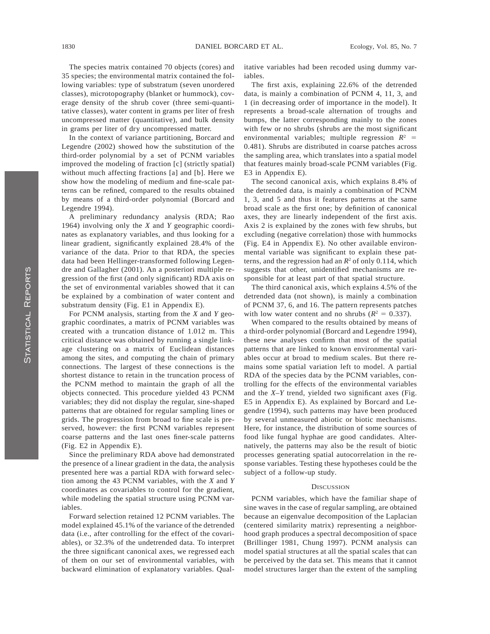The species matrix contained 70 objects (cores) and 35 species; the environmental matrix contained the following variables: type of substratum (seven unordered classes), microtopography (blanket or hummock), coverage density of the shrub cover (three semi-quantitative classes), water content in grams per liter of fresh uncompressed matter (quantitative), and bulk density in grams per liter of dry uncompressed matter.

In the context of variance partitioning, Borcard and Legendre (2002) showed how the substitution of the third-order polynomial by a set of PCNM variables improved the modeling of fraction [c] (strictly spatial) without much affecting fractions [a] and [b]. Here we show how the modeling of medium and fine-scale patterns can be refined, compared to the results obtained by means of a third-order polynomial (Borcard and Legendre 1994).

A preliminary redundancy analysis (RDA; Rao 1964) involving only the *X* and *Y* geographic coordinates as explanatory variables, and thus looking for a linear gradient, significantly explained 28.4% of the variance of the data. Prior to that RDA, the species data had been Hellinger-transformed following Legendre and Gallagher (2001). An a posteriori multiple regression of the first (and only significant) RDA axis on the set of environmental variables showed that it can be explained by a combination of water content and substratum density (Fig. E1 in Appendix E).

For PCNM analysis, starting from the *X* and *Y* geographic coordinates, a matrix of PCNM variables was created with a truncation distance of 1.012 m. This critical distance was obtained by running a single linkage clustering on a matrix of Euclidean distances among the sites, and computing the chain of primary connections. The largest of these connections is the shortest distance to retain in the truncation process of the PCNM method to maintain the graph of all the objects connected. This procedure yielded 43 PCNM variables; they did not display the regular, sine-shaped patterns that are obtained for regular sampling lines or grids. The progression from broad to fine scale is preserved, however: the first PCNM variables represent coarse patterns and the last ones finer-scale patterns (Fig. E2 in Appendix E).

Since the preliminary RDA above had demonstrated the presence of a linear gradient in the data, the analysis presented here was a partial RDA with forward selection among the 43 PCNM variables, with the *X* and *Y* coordinates as covariables to control for the gradient, while modeling the spatial structure using PCNM variables.

Forward selection retained 12 PCNM variables. The model explained 45.1% of the variance of the detrended data (i.e., after controlling for the effect of the covariables), or 32.3% of the undetrended data. To interpret the three significant canonical axes, we regressed each of them on our set of environmental variables, with backward elimination of explanatory variables. Qualitative variables had been recoded using dummy variables.

The first axis, explaining 22.6% of the detrended data, is mainly a combination of PCNM 4, 11, 3, and 1 (in decreasing order of importance in the model). It represents a broad-scale alternation of troughs and bumps, the latter corresponding mainly to the zones with few or no shrubs (shrubs are the most significant environmental variables; multiple regression  $R^2$  = 0.481). Shrubs are distributed in coarse patches across the sampling area, which translates into a spatial model that features mainly broad-scale PCNM variables (Fig. E3 in Appendix E).

The second canonical axis, which explains 8.4% of the detrended data, is mainly a combination of PCNM 1, 3, and 5 and thus it features patterns at the same broad scale as the first one; by definition of canonical axes, they are linearly independent of the first axis. Axis 2 is explained by the zones with few shrubs, but excluding (negative correlation) those with hummocks (Fig. E4 in Appendix E). No other available environmental variable was significant to explain these patterns, and the regression had an *R*<sup>2</sup> of only 0.114, which suggests that other, unidentified mechanisms are responsible for at least part of that spatial structure.

The third canonical axis, which explains 4.5% of the detrended data (not shown), is mainly a combination of PCNM 37, 6, and 16. The pattern represents patches with low water content and no shrubs  $(R^2 = 0.337)$ .

When compared to the results obtained by means of a third-order polynomial (Borcard and Legendre 1994), these new analyses confirm that most of the spatial patterns that are linked to known environmental variables occur at broad to medium scales. But there remains some spatial variation left to model. A partial RDA of the species data by the PCNM variables, controlling for the effects of the environmental variables and the *X*–*Y* trend, yielded two significant axes (Fig. E5 in Appendix E). As explained by Borcard and Legendre (1994), such patterns may have been produced by several unmeasured abiotic or biotic mechanisms. Here, for instance, the distribution of some sources of food like fungal hyphae are good candidates. Alternatively, the patterns may also be the result of biotic processes generating spatial autocorrelation in the response variables. Testing these hypotheses could be the subject of a follow-up study.

#### **DISCUSSION**

PCNM variables, which have the familiar shape of sine waves in the case of regular sampling, are obtained because an eigenvalue decomposition of the Laplacian (centered similarity matrix) representing a neighborhood graph produces a spectral decomposition of space (Brillinger 1981, Chung 1997). PCNM analysis can model spatial structures at all the spatial scales that can be perceived by the data set. This means that it cannot model structures larger than the extent of the sampling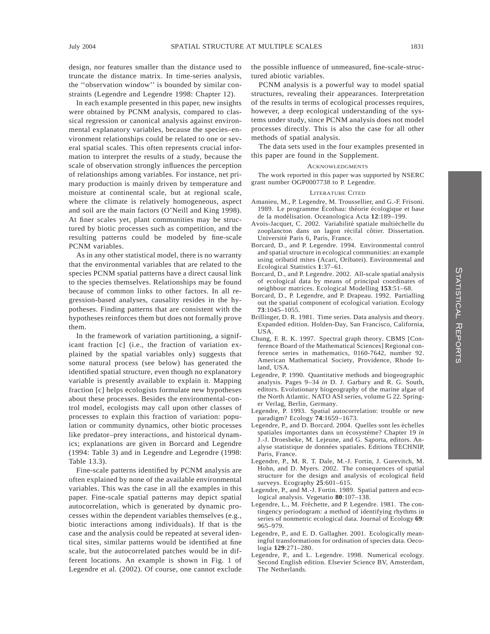design, nor features smaller than the distance used to truncate the distance matrix. In time-series analysis, the ''observation window'' is bounded by similar constraints (Legendre and Legendre 1998: Chapter 12).

In each example presented in this paper, new insights were obtained by PCNM analysis, compared to classical regression or canonical analysis against environmental explanatory variables, because the species–environment relationships could be related to one or several spatial scales. This often represents crucial information to interpret the results of a study, because the scale of observation strongly influences the perception of relationships among variables. For instance, net primary production is mainly driven by temperature and moisture at continental scale, but at regional scale, where the climate is relatively homogeneous, aspect and soil are the main factors (O'Neill and King 1998). At finer scales yet, plant communities may be structured by biotic processes such as competition, and the resulting patterns could be modeled by fine-scale PCNM variables.

As in any other statistical model, there is no warranty that the environmental variables that are related to the species PCNM spatial patterns have a direct causal link to the species themselves. Relationships may be found because of common links to other factors. In all regression-based analyses, causality resides in the hypotheses. Finding patterns that are consistent with the hypotheses reinforces them but does not formally prove them.

In the framework of variation partitioning, a significant fraction [c] (i.e., the fraction of variation explained by the spatial variables only) suggests that some natural process (see below) has generated the identified spatial structure, even though no explanatory variable is presently available to explain it. Mapping fraction [c] helps ecologists formulate new hypotheses about these processes. Besides the environmental-control model, ecologists may call upon other classes of processes to explain this fraction of variation: population or community dynamics, other biotic processes like predator–prey interactions, and historical dynamics; explanations are given in Borcard and Legendre (1994: Table 3) and in Legendre and Legendre (1998: Table 13.3).

Fine-scale patterns identified by PCNM analysis are often explained by none of the available environmental variables. This was the case in all the examples in this paper. Fine-scale spatial patterns may depict spatial autocorrelation, which is generated by dynamic processes within the dependent variables themselves (e.g., biotic interactions among individuals). If that is the case and the analysis could be repeated at several identical sites, similar patterns would be identified at fine scale, but the autocorrelated patches would be in different locations. An example is shown in Fig. 1 of Legendre et al. (2002). Of course, one cannot exclude

the possible influence of unmeasured, fine-scale-structured abiotic variables.

PCNM analysis is a powerful way to model spatial structures, revealing their appearances. Interpretation of the results in terms of ecological processes requires, however, a deep ecological understanding of the systems under study, since PCNM analysis does not model processes directly. This is also the case for all other methods of spatial analysis.

The data sets used in the four examples presented in this paper are found in the Supplement.

#### ACKNOWLEDGMENTS

The work reported in this paper was supported by NSERC grant number OGP0007738 to P. Legendre.

#### LITERATURE CITED

- Amanieu, M., P. Legendre, M. Troussellier, and G.-F. Frisoni. 1989. Le programme Écothau: théorie écologique et base de la modélisation. Oceanologica Acta 12:189-199.
- Avois-Jacquet, C. 2002. Variabilité spatiale multiéchelle du zooplancton dans un lagon récifal côtier. Dissertation. Université Paris 6, Paris, France.
- Borcard, D., and P. Legendre. 1994. Environmental control and spatial structure in ecological communities: an example using oribatid mites (Acari, Oribatei). Environmental and Ecological Statistics **1**:37–61.
- Borcard, D., and P. Legendre. 2002. All-scale spatial analysis of ecological data by means of principal coordinates of neighbour matrices. Ecological Modelling **153**:51–68.
- Borcard, D., P. Legendre, and P. Drapeau. 1992. Partialling out the spatial component of ecological variation. Ecology **73**:1045–1055.
- Brillinger, D. R. 1981. Time series. Data analysis and theory. Expanded edition. Holden-Day, San Francisco, California, USA.
- Chung, F. R. K. 1997. Spectral graph theory. CBMS [Conference Board of the Mathematical Sciences] Regional conference series in mathematics, 0160-7642, number 92. American Mathematical Society, Providence, Rhode Island, USA.
- Legendre, P. 1990. Quantitative methods and biogeographic analysis. Pages 9–34 *in* D. J. Garbary and R. G. South, editors. Evolutionary biogeography of the marine algae of the North Atlantic. NATO ASI series, volume G 22. Springer Verlag, Berlin, Germany.
- Legendre, P. 1993. Spatial autocorrelation: trouble or new paradigm? Ecology **74**:1659–1673.
- Legendre, P., and D. Borcard. 2004. Quelles sont les échelles spatiales importantes dans un écosystème? Chapter 19 in J.-J. Droesbeke, M. Lejeune, and G. Saporta, editors. Analyse statistique de données spatiales. Éditions TECHNIP, Paris, France.
- Legendre, P., M. R. T. Dale, M.-J. Fortin, J. Gurevitch, M. Hohn, and D. Myers. 2002. The consequences of spatial structure for the design and analysis of ecological field surveys. Ecography **25**:601–615.
- Legendre, P., and M.-J. Fortin. 1989. Spatial pattern and ecological analysis. Vegetatio **80**:107–138.
- Legendre, L., M. Fréchette, and P. Legendre. 1981. The contingency periodogram: a method of identifying rhythms in series of nonmetric ecological data. Journal of Ecology **69**: 965–979.
- Legendre, P., and E. D. Gallagher. 2001. Ecologically meaningful transformations for ordination of species data. Oecologia **129**:271–280.
- Legendre, P., and L. Legendre. 1998. Numerical ecology. Second English edition. Elsevier Science BV, Amsterdam, The Netherlands.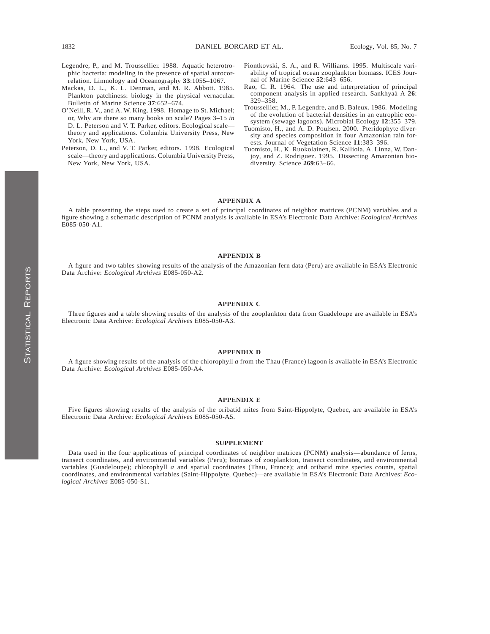- Legendre, P., and M. Troussellier. 1988. Aquatic heterotrophic bacteria: modeling in the presence of spatial autocorrelation. Limnology and Oceanography **33**:1055–1067.
- Mackas, D. L., K. L. Denman, and M. R. Abbott. 1985. Plankton patchiness: biology in the physical vernacular. Bulletin of Marine Science **37**:652–674.
- O'Neill, R. V., and A. W. King. 1998. Homage to St. Michael; or, Why are there so many books on scale? Pages 3–15 *in* D. L. Peterson and V. T. Parker, editors. Ecological scale theory and applications. Columbia University Press, New York, New York, USA.
- Peterson, D. L., and V. T. Parker, editors. 1998. Ecological scale—theory and applications. Columbia University Press, New York, New York, USA.
- Piontkovski, S. A., and R. Williams. 1995. Multiscale variability of tropical ocean zooplankton biomass. ICES Journal of Marine Science **52**:643–656.
- Rao, C. R. 1964. The use and interpretation of principal component analysis in applied research. Sankhyaa´ A **26**: 329–358.
- Troussellier, M., P. Legendre, and B. Baleux. 1986. Modeling of the evolution of bacterial densities in an eutrophic ecosystem (sewage lagoons). Microbial Ecology **12**:355–379.
- Tuomisto, H., and A. D. Poulsen. 2000. Pteridophyte diversity and species composition in four Amazonian rain forests. Journal of Vegetation Science **11**:383–396.
- Tuomisto, H., K. Ruokolainen, R. Kalliola, A. Linna, W. Danjoy, and Z. Rodriguez. 1995. Dissecting Amazonian biodiversity. Science **269**:63–66.

#### **APPENDIX A**

A table presenting the steps used to create a set of principal coordinates of neighbor matrices (PCNM) variables and a figure showing a schematic description of PCNM analysis is available in ESA's Electronic Data Archive: *Ecological Archives* E085-050-A1.

#### **APPENDIX B**

A figure and two tables showing results of the analysis of the Amazonian fern data (Peru) are available in ESA's Electronic Data Archive: *Ecological Archives* E085-050-A2.

#### **APPENDIX C**

Three figures and a table showing results of the analysis of the zooplankton data from Guadeloupe are available in ESA's Electronic Data Archive: *Ecological Archives* E085-050-A3.

#### **APPENDIX D**

A figure showing results of the analysis of the chlorophyll *a* from the Thau (France) lagoon is available in ESA's Electronic Data Archive: *Ecological Archives* E085-050-A4.

### **APPENDIX E**

Five figures showing results of the analysis of the oribatid mites from Saint-Hippolyte, Quebec, are available in ESA's Electronic Data Archive: *Ecological Archives* E085-050-A5.

#### **SUPPLEMENT**

Data used in the four applications of principal coordinates of neighbor matrices (PCNM) analysis—abundance of ferns, transect coordinates, and environmental variables (Peru); biomass of zooplankton, transect coordinates, and environmental variables (Guadeloupe); chlorophyll *a* and spatial coordinates (Thau, France); and oribatid mite species counts, spatial coordinates, and environmental variables (Saint-Hippolyte, Quebec)—are available in ESA's Electronic Data Archives: *Ecological Archives* E085-050-S1.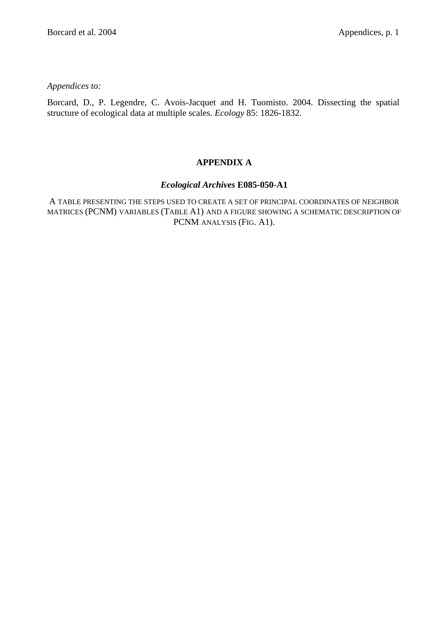*Appendices to:*

Borcard, D., P. Legendre, C. Avois-Jacquet and H. Tuomisto. 2004. Dissecting the spatial structure of ecological data at multiple scales. *Ecology* 85: 1826-1832.

# **APPENDIX A**

## *Ecological Archives* **E085-050-A1**

A TABLE PRESENTING THE STEPS USED TO CREATE A SET OF PRINCIPAL COORDINATES OF NEIGHBOR MATRICES (PCNM) VARIABLES (TABLE A1) AND A FIGURE SHOWING A SCHEMATIC DESCRIPTION OF PCNM ANALYSIS (FIG. A1).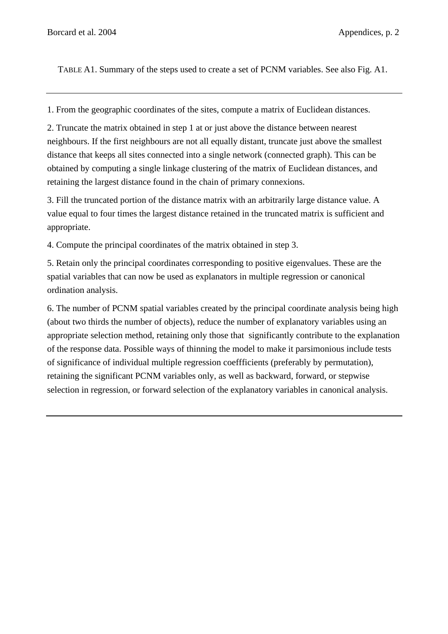TABLE A1. Summary of the steps used to create a set of PCNM variables. See also Fig. A1.

1. From the geographic coordinates of the sites, compute a matrix of Euclidean distances.

2. Truncate the matrix obtained in step 1 at or just above the distance between nearest neighbours. If the first neighbours are not all equally distant, truncate just above the smallest distance that keeps all sites connected into a single network (connected graph). This can be obtained by computing a single linkage clustering of the matrix of Euclidean distances, and retaining the largest distance found in the chain of primary connexions.

3. Fill the truncated portion of the distance matrix with an arbitrarily large distance value. A value equal to four times the largest distance retained in the truncated matrix is sufficient and appropriate.

4. Compute the principal coordinates of the matrix obtained in step 3.

5. Retain only the principal coordinates corresponding to positive eigenvalues. These are the spatial variables that can now be used as explanators in multiple regression or canonical ordination analysis.

6. The number of PCNM spatial variables created by the principal coordinate analysis being high (about two thirds the number of objects), reduce the number of explanatory variables using an appropriate selection method, retaining only those that significantly contribute to the explanation of the response data. Possible ways of thinning the model to make it parsimonious include tests of significance of individual multiple regression coeffficients (preferably by permutation), retaining the significant PCNM variables only, as well as backward, forward, or stepwise selection in regression, or forward selection of the explanatory variables in canonical analysis.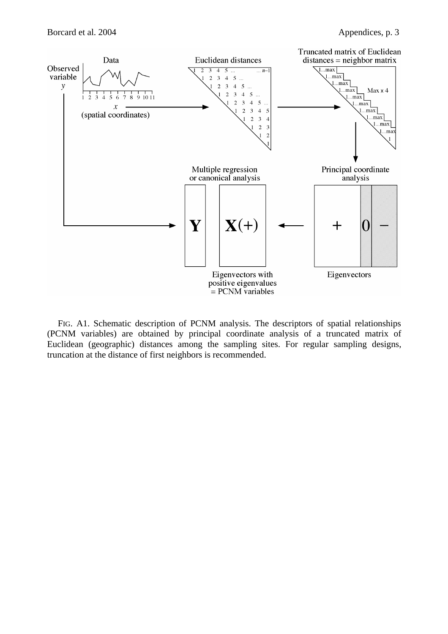

FIG. A1. Schematic description of PCNM analysis. The descriptors of spatial relationships (PCNM variables) are obtained by principal coordinate analysis of a truncated matrix of Euclidean (geographic) distances among the sampling sites. For regular sampling designs, truncation at the distance of first neighbors is recommended.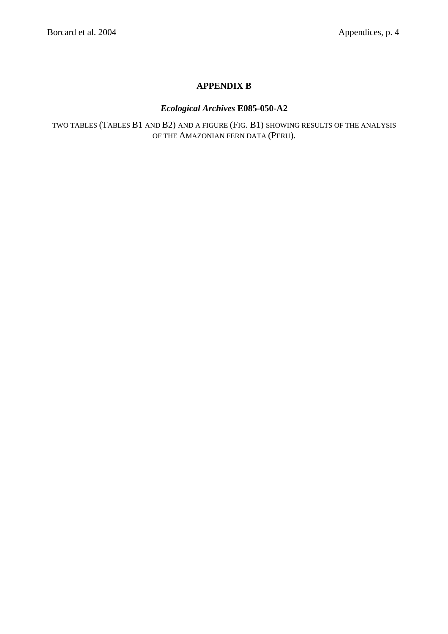# **APPENDIX B**

# *Ecological Archives* **E085-050-A2**

TWO TABLES (TABLES B1 AND B2) AND A FIGURE (FIG. B1) SHOWING RESULTS OF THE ANALYSIS OF THE AMAZONIAN FERN DATA (PERU).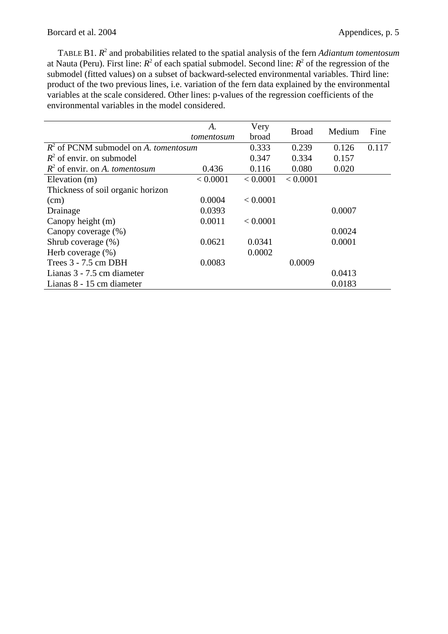TABLE B1.  $R^2$  and probabilities related to the spatial analysis of the fern *Adiantum tomentosum* at Nauta (Peru). First line:  $R^2$  of each spatial submodel. Second line:  $R^2$  of the regression of the submodel (fitted values) on a subset of backward-selected environmental variables. Third line: product of the two previous lines, i.e. variation of the fern data explained by the environmental variables at the scale considered. Other lines: p-values of the regression coefficients of the environmental variables in the model considered.

|                                                | A.         | Very     | <b>Broad</b> | Medium | Fine  |
|------------------------------------------------|------------|----------|--------------|--------|-------|
|                                                | tomentosum | broad    |              |        |       |
| $R^2$ of PCNM submodel on A, <i>tomentosum</i> |            | 0.333    | 0.239        | 0.126  | 0.117 |
| $R^2$ of envir. on submodel                    |            | 0.347    | 0.334        | 0.157  |       |
| $R^2$ of envir. on A. tomentosum               | 0.436      | 0.116    | 0.080        | 0.020  |       |
| Elevation (m)                                  | < 0.0001   | < 0.0001 | < 0.0001     |        |       |
| Thickness of soil organic horizon              |            |          |              |        |       |
| (cm)                                           | 0.0004     | < 0.0001 |              |        |       |
| Drainage                                       | 0.0393     |          |              | 0.0007 |       |
| Canopy height (m)                              | 0.0011     | < 0.0001 |              |        |       |
| Canopy coverage (%)                            |            |          |              | 0.0024 |       |
| Shrub coverage (%)                             | 0.0621     | 0.0341   |              | 0.0001 |       |
| Herb coverage $(\%)$                           |            | 0.0002   |              |        |       |
| Trees 3 - 7.5 cm DBH                           | 0.0083     |          | 0.0009       |        |       |
| Lianas 3 - 7.5 cm diameter                     |            |          |              | 0.0413 |       |
| Lianas 8 - 15 cm diameter                      |            |          |              | 0.0183 |       |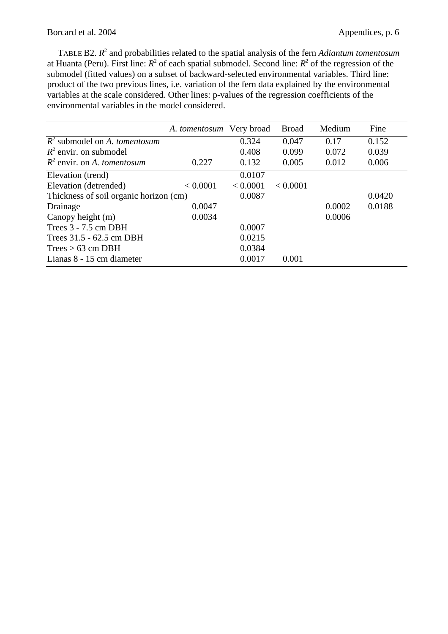TABLE B2.  $R^2$  and probabilities related to the spatial analysis of the fern *Adiantum tomentosum* at Huanta (Peru). First line:  $R^2$  of each spatial submodel. Second line:  $R^2$  of the regression of the submodel (fitted values) on a subset of backward-selected environmental variables. Third line: product of the two previous lines, i.e. variation of the fern data explained by the environmental variables at the scale considered. Other lines: p-values of the regression coefficients of the environmental variables in the model considered.

|                                        | A. tomentosum Very broad |          | <b>Broad</b> | Medium | Fine   |
|----------------------------------------|--------------------------|----------|--------------|--------|--------|
| $R^2$ submodel on A. tomentosum        |                          | 0.324    | 0.047        | 0.17   | 0.152  |
| $R^2$ envir. on submodel               |                          | 0.408    | 0.099        | 0.072  | 0.039  |
| $R^2$ envir. on A. tomentosum          | 0.227                    | 0.132    | 0.005        | 0.012  | 0.006  |
| Elevation (trend)                      |                          | 0.0107   |              |        |        |
| Elevation (detrended)                  | < 0.0001                 | < 0.0001 | < 0.0001     |        |        |
| Thickness of soil organic horizon (cm) |                          | 0.0087   |              |        | 0.0420 |
| Drainage                               | 0.0047                   |          |              | 0.0002 | 0.0188 |
| Canopy height (m)                      | 0.0034                   |          |              | 0.0006 |        |
| Trees $3 - 7.5$ cm DBH                 |                          | 0.0007   |              |        |        |
| Trees 31.5 - 62.5 cm DBH               |                          | 0.0215   |              |        |        |
| Trees > 63 cm DBH                      |                          | 0.0384   |              |        |        |
| Lianas 8 - 15 cm diameter              |                          | 0.0017   | 0.001        |        |        |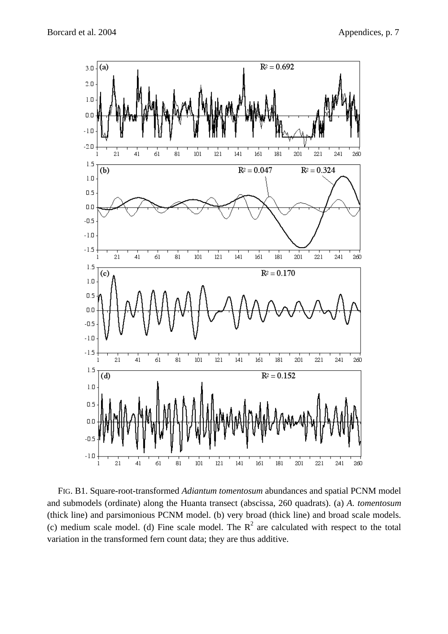

FIG. B1. Square-root-transformed *Adiantum tomentosum* abundances and spatial PCNM model and submodels (ordinate) along the Huanta transect (abscissa, 260 quadrats). (a) *A. tomentosum* (thick line) and parsimonious PCNM model. (b) very broad (thick line) and broad scale models. (c) medium scale model. (d) Fine scale model. The  $R^2$  are calculated with respect to the total variation in the transformed fern count data; they are thus additive.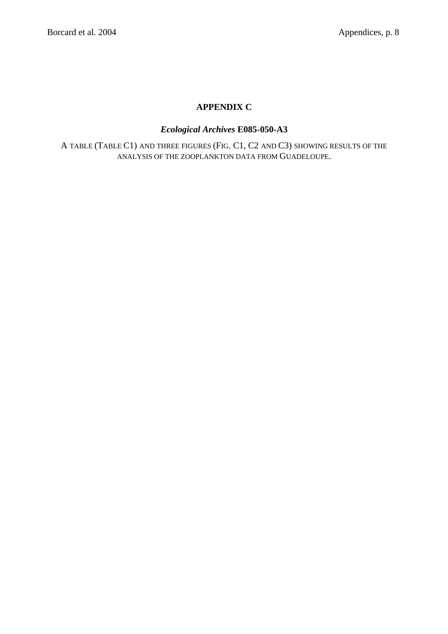# **APPENDIX C**

# *Ecological Archives* **E085-050-A3**

A TABLE (TABLE C1) AND THREE FIGURES (FIG. C1, C2 AND C3) SHOWING RESULTS OF THE ANALYSIS OF THE ZOOPLANKTON DATA FROM GUADELOUPE.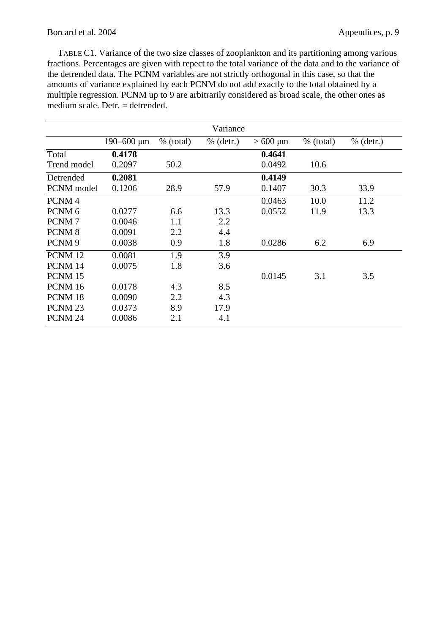TABLE C1. Variance of the two size classes of zooplankton and its partitioning among various fractions. Percentages are given with repect to the total variance of the data and to the variance of the detrended data. The PCNM variables are not strictly orthogonal in this case, so that the amounts of variance explained by each PCNM do not add exactly to the total obtained by a multiple regression. PCNM up to 9 are arbitrarily considered as broad scale, the other ones as medium scale. Detr. = detrended.

|                    |                   |             | Variance    |              |             |             |
|--------------------|-------------------|-------------|-------------|--------------|-------------|-------------|
|                    | $190 - 600 \mu m$ | $%$ (total) | $%$ (detr.) | $>600 \mu m$ | $%$ (total) | $%$ (detr.) |
| Total              | 0.4178            |             |             | 0.4641       |             |             |
| Trend model        | 0.2097            | 50.2        |             | 0.0492       | 10.6        |             |
| Detrended          | 0.2081            |             |             | 0.4149       |             |             |
| PCNM model         | 0.1206            | 28.9        | 57.9        | 0.1407       | 30.3        | 33.9        |
| PCNM <sub>4</sub>  |                   |             |             | 0.0463       | 10.0        | 11.2        |
| PCNM <sub>6</sub>  | 0.0277            | 6.6         | 13.3        | 0.0552       | 11.9        | 13.3        |
| PCNM7              | 0.0046            | 1.1         | 2.2         |              |             |             |
| PCNM <sub>8</sub>  | 0.0091            | 2.2         | 4.4         |              |             |             |
| PCNM <sub>9</sub>  | 0.0038            | 0.9         | 1.8         | 0.0286       | 6.2         | 6.9         |
| PCNM 12            | 0.0081            | 1.9         | 3.9         |              |             |             |
| PCNM 14            | 0.0075            | 1.8         | 3.6         |              |             |             |
| PCNM 15            |                   |             |             | 0.0145       | 3.1         | 3.5         |
| PCNM 16            | 0.0178            | 4.3         | 8.5         |              |             |             |
| PCNM <sub>18</sub> | 0.0090            | 2.2         | 4.3         |              |             |             |
| PCNM <sub>23</sub> | 0.0373            | 8.9         | 17.9        |              |             |             |
| PCNM <sub>24</sub> | 0.0086            | 2.1         | 4.1         |              |             |             |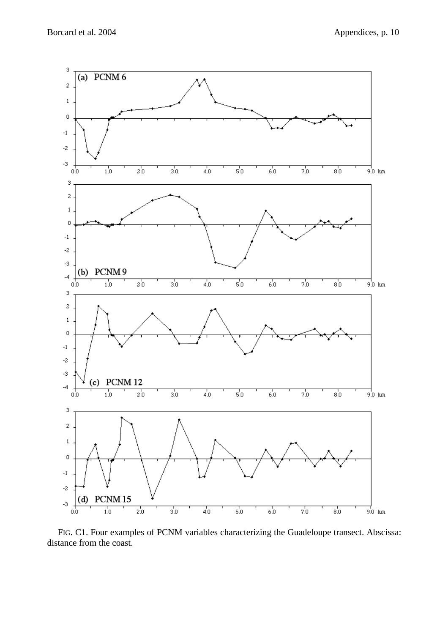

FIG. C1. Four examples of PCNM variables characterizing the Guadeloupe transect. Abscissa: distance from the coast.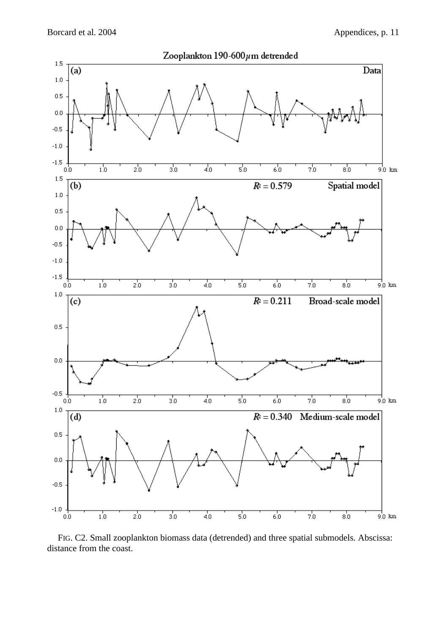![](_page_17_Figure_2.jpeg)

FIG. C2. Small zooplankton biomass data (detrended) and three spatial submodels. Abscissa: distance from the coast.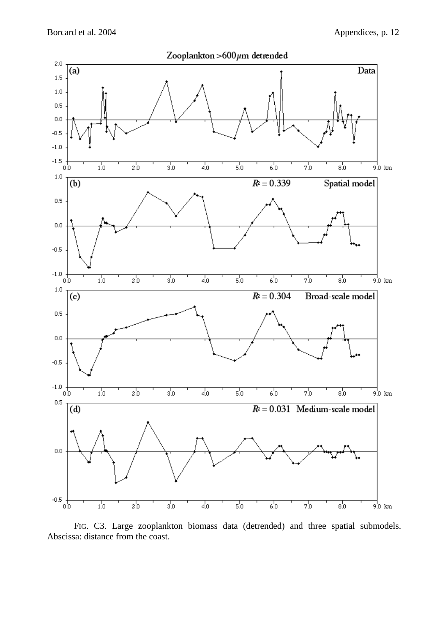![](_page_18_Figure_2.jpeg)

FIG. C3. Large zooplankton biomass data (detrended) and three spatial submodels. Abscissa: distance from the coast.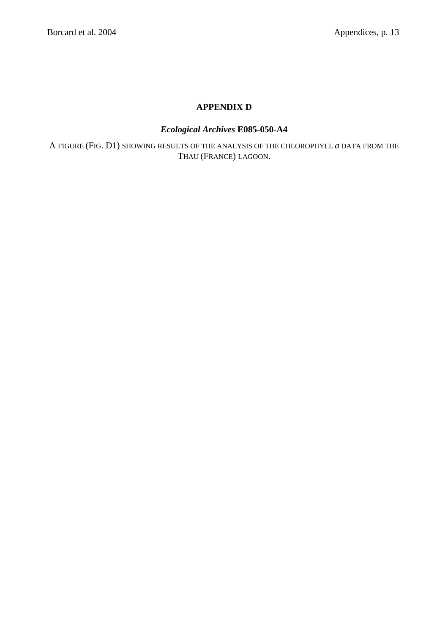# **APPENDIX D**

# *Ecological Archives* **E085-050-A4**

A FIGURE (FIG. D1) SHOWING RESULTS OF THE ANALYSIS OF THE CHLOROPHYLL *a* DATA FROM THE THAU (FRANCE) LAGOON.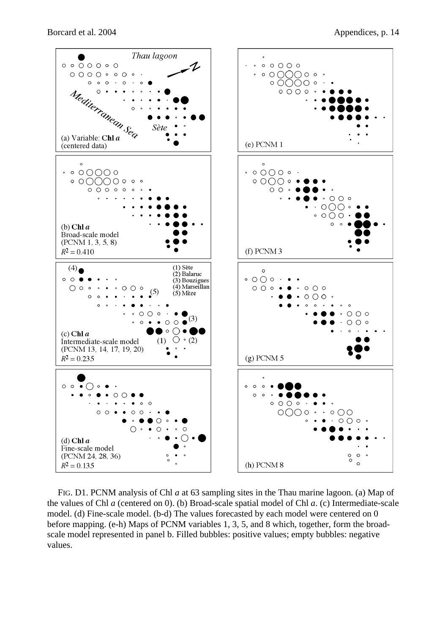![](_page_20_Figure_2.jpeg)

FIG. D1. PCNM analysis of Chl *a* at 63 sampling sites in the Thau marine lagoon. (a) Map of the values of Chl *a* (centered on 0). (b) Broad-scale spatial model of Chl *a*. (c) Intermediate-scale model. (d) Fine-scale model. (b-d) The values forecasted by each model were centered on 0 before mapping. (e-h) Maps of PCNM variables 1, 3, 5, and 8 which, together, form the broadscale model represented in panel b. Filled bubbles: positive values; empty bubbles: negative values.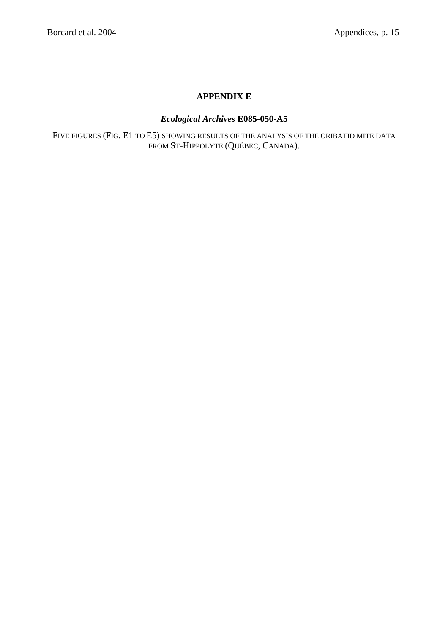# **APPENDIX E**

## *Ecological Archives* **E085-050-A5**

FIVE FIGURES (FIG. E1 TO E5) SHOWING RESULTS OF THE ANALYSIS OF THE ORIBATID MITE DATA FROM ST-HIPPOLYTE (QUÉBEC, CANADA).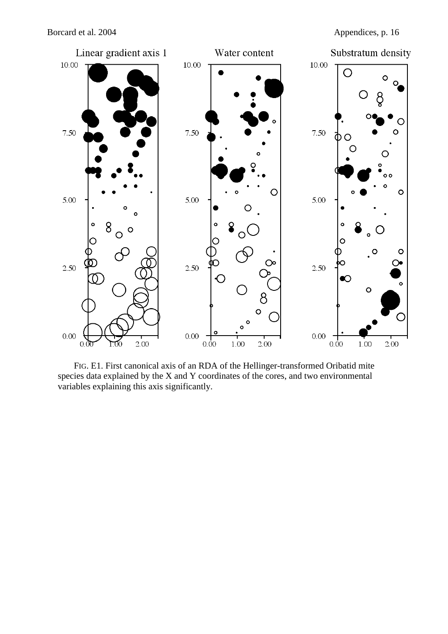![](_page_22_Figure_2.jpeg)

FIG. E1. First canonical axis of an RDA of the Hellinger-transformed Oribatid mite species data explained by the X and Y coordinates of the cores, and two environmental variables explaining this axis significantly.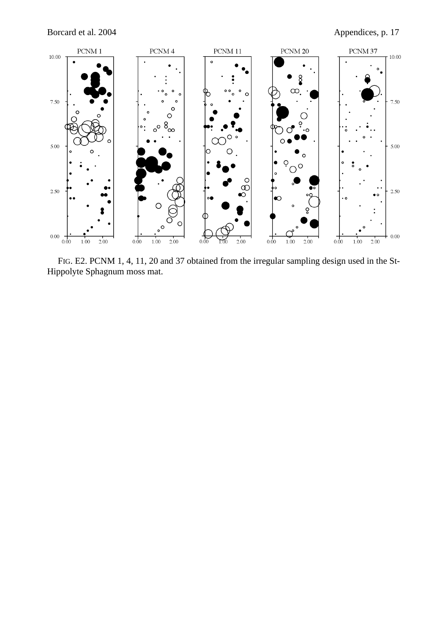![](_page_23_Figure_2.jpeg)

FIG. E2. PCNM 1, 4, 11, 20 and 37 obtained from the irregular sampling design used in the St-Hippolyte Sphagnum moss mat.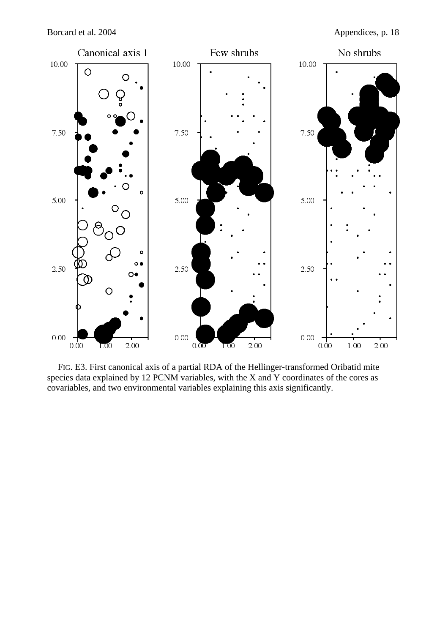![](_page_24_Figure_2.jpeg)

FIG. E3. First canonical axis of a partial RDA of the Hellinger-transformed Oribatid mite species data explained by 12 PCNM variables, with the X and Y coordinates of the cores as covariables, and two environmental variables explaining this axis significantly.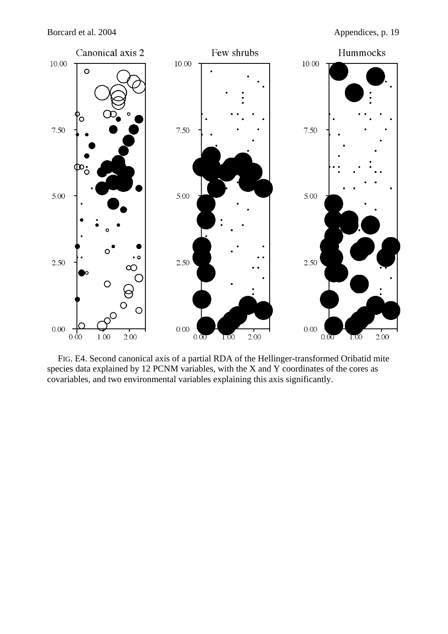![](_page_25_Figure_2.jpeg)

FIG. E4. Second canonical axis of a partial RDA of the Hellinger-transformed Oribatid mite species data explained by 12 PCNM variables, with the X and Y coordinates of the cores as covariables, and two environmental variables explaining this axis significantly.